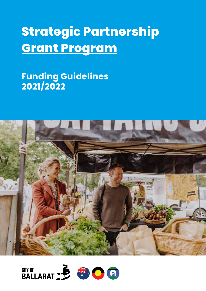# **Strategic Partnership Grant Program**

# **Funding Guidelines 2021/2022**



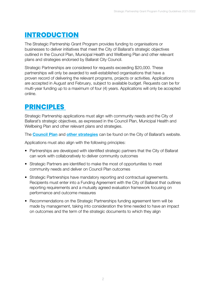## **INTRODUCTION**

The Strategic Partnership Grant Program provides funding to organisations or businesses to deliver initiatives that meet the City of Ballarat's strategic objectives outlined in the Council Plan, Municipal Health and Wellbeing Plan and other relevant plans and strategies endorsed by Ballarat City Council.

Strategic Partnerships are considered for requests exceeding \$20,000. These partnerships will only be awarded to well-established organisations that have a proven record of delivering the relevant programs, projects or activities. Applications are accepted in August and February, subject to available budget. Requests can be for multi-year funding up to a maximum of four (4) years. Applications will only be accepted online.

### **PRINCIPLES**

Strategic Partnership applications must align with community needs and the City of Ballarat's strategic objectives, as expressed in the Council Plan, Municipal Health and Wellbeing Plan and other relevant plans and strategies.

The **[Council Plan](https://www.ballarat.vic.gov.au/city/about-us/council-plan)** and **[other strategies](https://www.ballarat.vic.gov.au/city/strategies-plans-and-policies)** can be found on the City of Ballarat's website.

Applications must also align with the following principles:

- Partnerships are developed with identified strategic partners that the City of Ballarat can work with collaboratively to deliver community outcomes
- Strategic Partners are identified to make the most of opportunities to meet community needs and deliver on Council Plan outcomes
- Strategic Partnerships have mandatory reporting and contractual agreements. Recipients must enter into a Funding Agreement with the City of Ballarat that outlines reporting requirements and a mutually agreed evaluation framework focusing on performance and outcome measures
- Recommendations on the Strategic Partnerships funding agreement term will be made by management, taking into consideration the time needed to have an impact on outcomes and the term of the strategic documents to which they align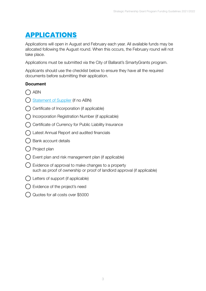# **APPLICATIONS**

Applications will open in August and February each year. All available funds may be allocated following the August round. When this occurs, the February round will not take place.

Applications must be submitted via the City of Ballarat's SmartyGrants program.

Applicants should use the checklist below to ensure they have all the required documents before submitting their application.

#### Document

- () ABN
- [Statement of Supplier](https://www.ato.gov.au/uploadedfiles/content/mei/downloads/bus38509n3346_5_2012.pdf) (if no ABN)
- $\bigcap$  Certificate of Incorporation (if applicable)
- $\bigcap$  Incorporation Registration Number (if applicable)
- $\bigcap$  Certificate of Currency for Public Liability Insurance
- Latest Annual Report and audited financials
- () Bank account details
- Project plan
- Event plan and risk management plan (if applicable)
- Evidence of approval to make changes to a property such as proof of ownership or proof of landlord approval (if applicable)
- Letters of support (if applicable)
- Evidence of the project's need
- Quotes for all costs over \$5000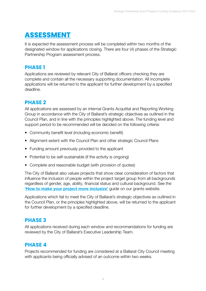# **ASSESSMENT**

It is expected the assessment process will be completed within two months of the designated window for applications closing. There are four (4) phases of the Strategic Partnership Program assessment process.

#### **PHASE 1**

Applications are reviewed by relevant City of Ballarat officers checking they are complete and contain all the necessary supporting documentation. All incomplete applications will be returned to the applicant for further development by a specified deadline.

#### **PHASE 2**

All applications are assessed by an internal Grants Acquittal and Reporting Working Group in accordance with the City of Ballarat's strategic objectives as outlined in the Council Plan, and in line with the principles highlighted above. The funding level and support period to be recommended will be decided on the following criteria:

- Community benefit level (including economic benefit)
- Alignment extent with the Council Plan and other strategic Council Plans
- Funding amount previously provided to the applicant
- Potential to be self-sustainable (if the activity is ongoing)
- Complete and reasonable budget (with provision of quotes)

The City of Ballarat also values projects that show clear consideration of factors that influence the inclusion of people within the project target group from all backgrounds regardless of gender, age, ability, financial status and cultural background. See the ['How to make your project more inclusive'](https://www.ballarat.vic.gov.au/city/my-community/grants) guide on our grants website.

Applications which fail to meet the City of Ballarat's strategic objectives as outlined in the Council Plan, or the principles highlighted above, will be returned to the applicant for further development by a specified deadline.

#### **PHASE 3**

All applications received during each window and recommendations for funding are reviewed by the City of Ballarat's Executive Leadership Team.

#### **PHASE 4**

Projects recommended for funding are considered at a Ballarat City Council meeting with applicants being officially advised of an outcome within two weeks.